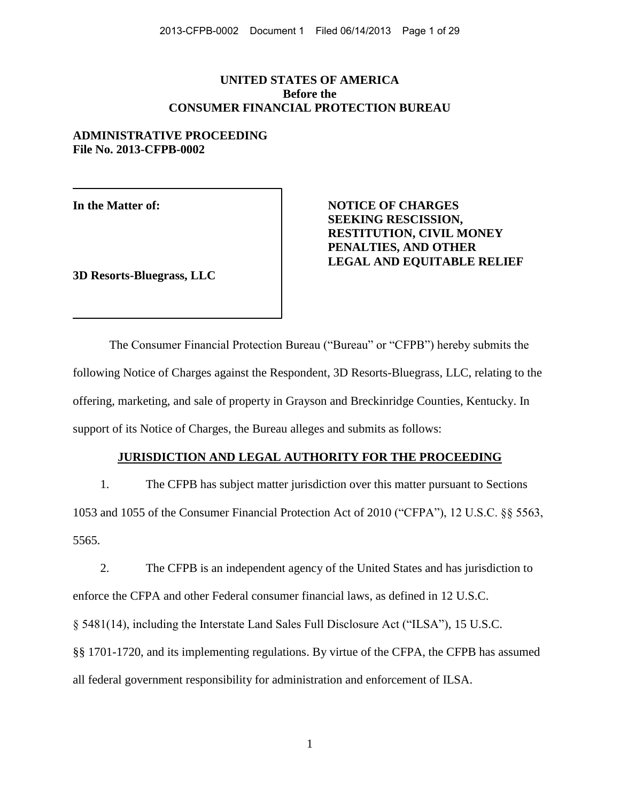## **UNITED STATES OF AMERICA Before the CONSUMER FINANCIAL PROTECTION BUREAU**

# **ADMINISTRATIVE PROCEEDING File No. 2013-CFPB-0002**

**3D Resorts-Bluegrass, LLC** 

In the Matter of: **NOTICE OF CHARGES SEEKING RESCISSION, RESTITUTION, CIVIL MONEY PENALTIES, AND OTHER LEGAL AND EQUITABLE RELIEF** 

 The Consumer Financial Protection Bureau ("Bureau" or "CFPB") hereby submits the following Notice of Charges against the Respondent, 3D Resorts-Bluegrass, LLC, relating to the offering, marketing, and sale of property in Grayson and Breckinridge Counties, Kentucky. In support of its Notice of Charges, the Bureau alleges and submits as follows:

## **JURISDICTION AND LEGAL AUTHORITY FOR THE PROCEEDING**

1. The CFPB has subject matter jurisdiction over this matter pursuant to Sections 1053 and 1055 of the Consumer Financial Protection Act of 2010 ("CFPA"), 12 U.S.C. §§ 5563, 5565.

2. The CFPB is an independent agency of the United States and has jurisdiction to enforce the CFPA and other Federal consumer financial laws, as defined in 12 U.S.C. § 5481(14), including the Interstate Land Sales Full Disclosure Act ("ILSA"), 15 U.S.C. §§ 1701-1720, and its implementing regulations. By virtue of the CFPA, the CFPB has assumed all federal government responsibility for administration and enforcement of ILSA.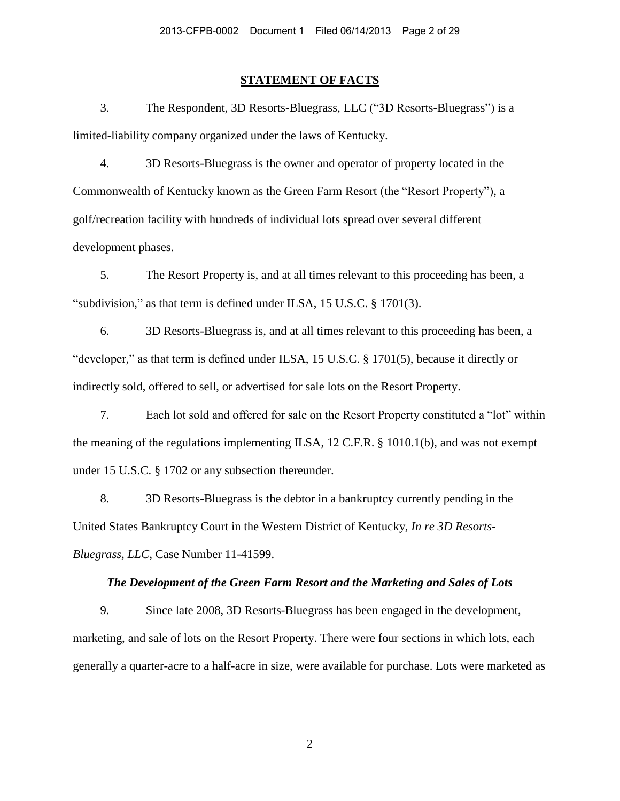### **STATEMENT OF FACTS**

3. The Respondent, 3D Resorts-Bluegrass, LLC ("3D Resorts-Bluegrass") is a limited-liability company organized under the laws of Kentucky.

4. 3D Resorts-Bluegrass is the owner and operator of property located in the Commonwealth of Kentucky known as the Green Farm Resort (the "Resort Property"), a golf/recreation facility with hundreds of individual lots spread over several different development phases.

5. The Resort Property is, and at all times relevant to this proceeding has been, a "subdivision," as that term is defined under ILSA, 15 U.S.C. § 1701(3).

6. 3D Resorts-Bluegrass is, and at all times relevant to this proceeding has been, a "developer," as that term is defined under ILSA, 15 U.S.C. § 1701(5), because it directly or indirectly sold, offered to sell, or advertised for sale lots on the Resort Property.

7. Each lot sold and offered for sale on the Resort Property constituted a "lot" within the meaning of the regulations implementing ILSA, 12 C.F.R. § 1010.1(b), and was not exempt under 15 U.S.C. § 1702 or any subsection thereunder.

8. 3D Resorts-Bluegrass is the debtor in a bankruptcy currently pending in the United States Bankruptcy Court in the Western District of Kentucky, *In re 3D Resorts-Bluegrass, LLC*, Case Number 11-41599.

### *The Development of the Green Farm Resort and the Marketing and Sales of Lots*

9. Since late 2008, 3D Resorts-Bluegrass has been engaged in the development, marketing, and sale of lots on the Resort Property. There were four sections in which lots, each generally a quarter-acre to a half-acre in size, were available for purchase. Lots were marketed as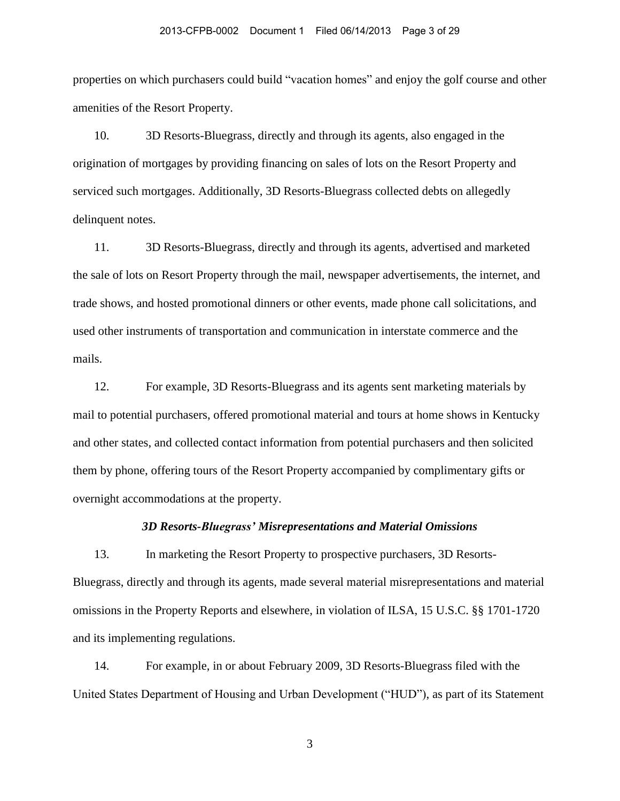properties on which purchasers could build "vacation homes" and enjoy the golf course and other amenities of the Resort Property.

10. 3D Resorts-Bluegrass, directly and through its agents, also engaged in the origination of mortgages by providing financing on sales of lots on the Resort Property and serviced such mortgages. Additionally, 3D Resorts-Bluegrass collected debts on allegedly delinquent notes.

11. 3D Resorts-Bluegrass, directly and through its agents, advertised and marketed the sale of lots on Resort Property through the mail, newspaper advertisements, the internet, and trade shows, and hosted promotional dinners or other events, made phone call solicitations, and used other instruments of transportation and communication in interstate commerce and the mails.

12. For example, 3D Resorts-Bluegrass and its agents sent marketing materials by mail to potential purchasers, offered promotional material and tours at home shows in Kentucky and other states, and collected contact information from potential purchasers and then solicited them by phone, offering tours of the Resort Property accompanied by complimentary gifts or overnight accommodations at the property.

### *3D Resorts-Bluegrass' Misrepresentations and Material Omissions*

13. In marketing the Resort Property to prospective purchasers, 3D Resorts-Bluegrass, directly and through its agents, made several material misrepresentations and material omissions in the Property Reports and elsewhere, in violation of ILSA, 15 U.S.C. §§ 1701-1720 and its implementing regulations.

14. For example, in or about February 2009, 3D Resorts-Bluegrass filed with the United States Department of Housing and Urban Development ("HUD"), as part of its Statement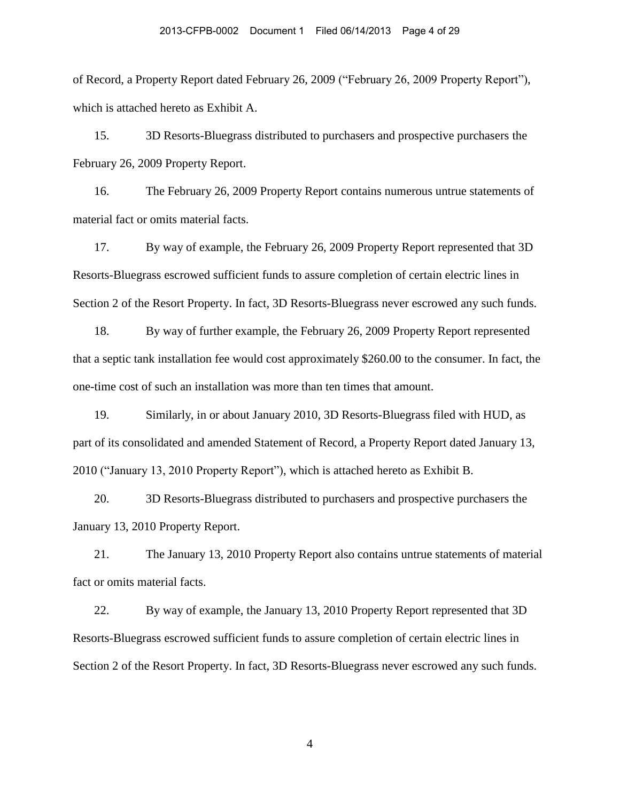of Record, a Property Report dated February 26, 2009 ("February 26, 2009 Property Report"), which is attached hereto as Exhibit A.

15. 3D Resorts-Bluegrass distributed to purchasers and prospective purchasers the February 26, 2009 Property Report.

16. The February 26, 2009 Property Report contains numerous untrue statements of material fact or omits material facts.

17. By way of example, the February 26, 2009 Property Report represented that 3D Resorts-Bluegrass escrowed sufficient funds to assure completion of certain electric lines in Section 2 of the Resort Property. In fact, 3D Resorts-Bluegrass never escrowed any such funds.

18. By way of further example, the February 26, 2009 Property Report represented that a septic tank installation fee would cost approximately \$260.00 to the consumer. In fact, the one-time cost of such an installation was more than ten times that amount.

19. Similarly, in or about January 2010, 3D Resorts-Bluegrass filed with HUD, as part of its consolidated and amended Statement of Record, a Property Report dated January 13, 2010 ("January 13, 2010 Property Report"), which is attached hereto as Exhibit B.

20. 3D Resorts-Bluegrass distributed to purchasers and prospective purchasers the January 13, 2010 Property Report.

21. The January 13, 2010 Property Report also contains untrue statements of material fact or omits material facts.

22. By way of example, the January 13, 2010 Property Report represented that 3D Resorts-Bluegrass escrowed sufficient funds to assure completion of certain electric lines in Section 2 of the Resort Property. In fact, 3D Resorts-Bluegrass never escrowed any such funds.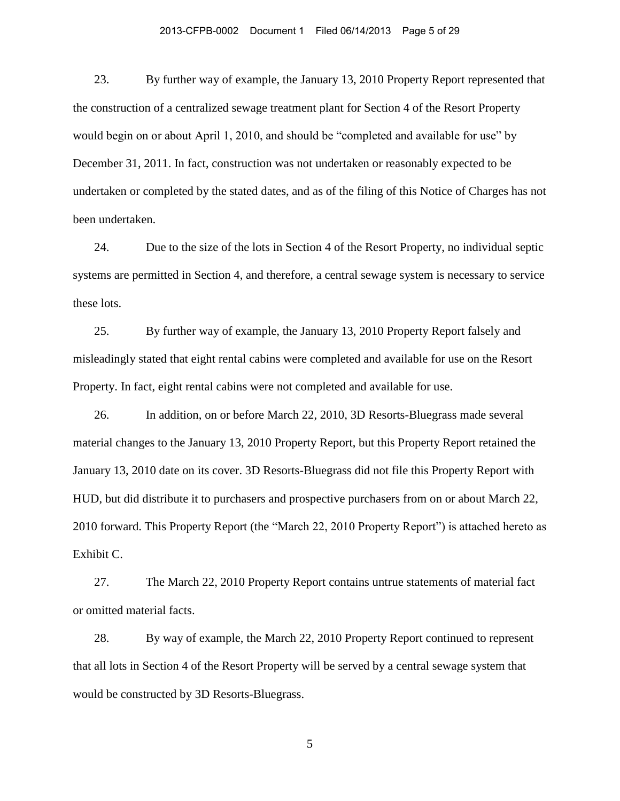#### 2013-CFPB-0002 Document 1 Filed 06/14/2013 Page 5 of 29

23. By further way of example, the January 13, 2010 Property Report represented that the construction of a centralized sewage treatment plant for Section 4 of the Resort Property would begin on or about April 1, 2010, and should be "completed and available for use" by December 31, 2011. In fact, construction was not undertaken or reasonably expected to be undertaken or completed by the stated dates, and as of the filing of this Notice of Charges has not been undertaken.

24. Due to the size of the lots in Section 4 of the Resort Property, no individual septic systems are permitted in Section 4, and therefore, a central sewage system is necessary to service these lots.

25. By further way of example, the January 13, 2010 Property Report falsely and misleadingly stated that eight rental cabins were completed and available for use on the Resort Property. In fact, eight rental cabins were not completed and available for use.

26. In addition, on or before March 22, 2010, 3D Resorts-Bluegrass made several material changes to the January 13, 2010 Property Report, but this Property Report retained the January 13, 2010 date on its cover. 3D Resorts-Bluegrass did not file this Property Report with HUD, but did distribute it to purchasers and prospective purchasers from on or about March 22, 2010 forward. This Property Report (the "March 22, 2010 Property Report") is attached hereto as Exhibit C.

27. The March 22, 2010 Property Report contains untrue statements of material fact or omitted material facts.

28. By way of example, the March 22, 2010 Property Report continued to represent that all lots in Section 4 of the Resort Property will be served by a central sewage system that would be constructed by 3D Resorts-Bluegrass.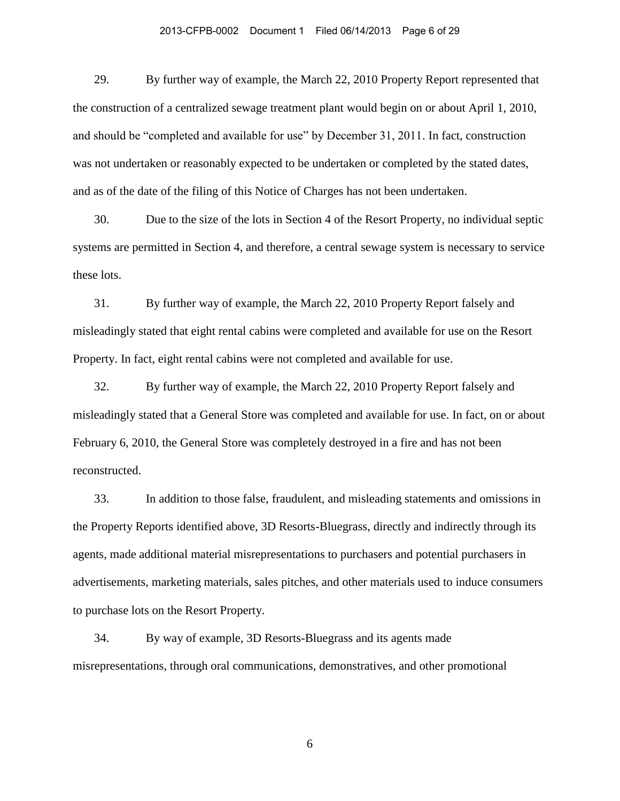#### 2013-CFPB-0002 Document 1 Filed 06/14/2013 Page 6 of 29

29. By further way of example, the March 22, 2010 Property Report represented that the construction of a centralized sewage treatment plant would begin on or about April 1, 2010, and should be "completed and available for use" by December 31, 2011. In fact, construction was not undertaken or reasonably expected to be undertaken or completed by the stated dates, and as of the date of the filing of this Notice of Charges has not been undertaken.

30. Due to the size of the lots in Section 4 of the Resort Property, no individual septic systems are permitted in Section 4, and therefore, a central sewage system is necessary to service these lots.

31. By further way of example, the March 22, 2010 Property Report falsely and misleadingly stated that eight rental cabins were completed and available for use on the Resort Property. In fact, eight rental cabins were not completed and available for use.

32. By further way of example, the March 22, 2010 Property Report falsely and misleadingly stated that a General Store was completed and available for use. In fact, on or about February 6, 2010, the General Store was completely destroyed in a fire and has not been reconstructed.

33. In addition to those false, fraudulent, and misleading statements and omissions in the Property Reports identified above, 3D Resorts-Bluegrass, directly and indirectly through its agents, made additional material misrepresentations to purchasers and potential purchasers in advertisements, marketing materials, sales pitches, and other materials used to induce consumers to purchase lots on the Resort Property.

34. By way of example, 3D Resorts-Bluegrass and its agents made misrepresentations, through oral communications, demonstratives, and other promotional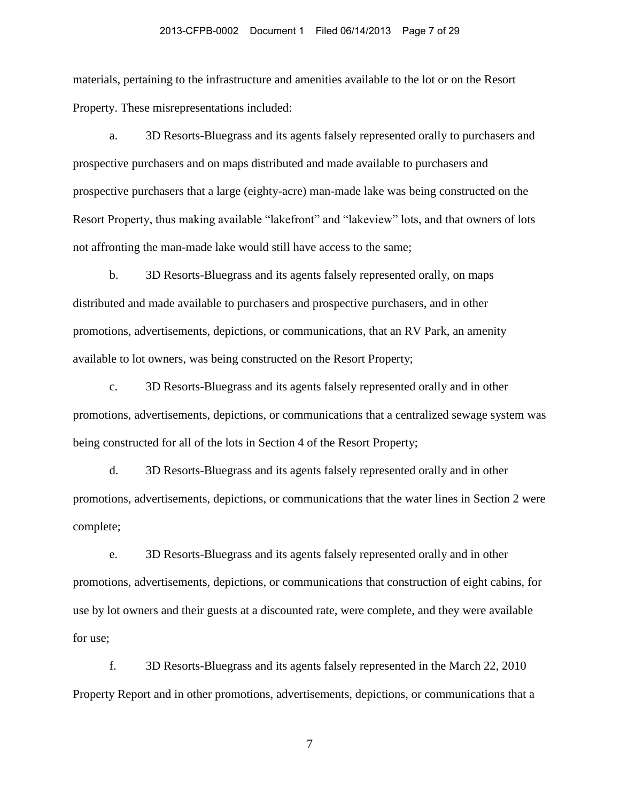#### 2013-CFPB-0002 Document 1 Filed 06/14/2013 Page 7 of 29

materials, pertaining to the infrastructure and amenities available to the lot or on the Resort Property. These misrepresentations included:

a. 3D Resorts-Bluegrass and its agents falsely represented orally to purchasers and prospective purchasers and on maps distributed and made available to purchasers and prospective purchasers that a large (eighty-acre) man-made lake was being constructed on the Resort Property, thus making available "lakefront" and "lakeview" lots, and that owners of lots not affronting the man-made lake would still have access to the same;

b. 3D Resorts-Bluegrass and its agents falsely represented orally, on maps distributed and made available to purchasers and prospective purchasers, and in other promotions, advertisements, depictions, or communications, that an RV Park, an amenity available to lot owners, was being constructed on the Resort Property;

c. 3D Resorts-Bluegrass and its agents falsely represented orally and in other promotions, advertisements, depictions, or communications that a centralized sewage system was being constructed for all of the lots in Section 4 of the Resort Property;

d. 3D Resorts-Bluegrass and its agents falsely represented orally and in other promotions, advertisements, depictions, or communications that the water lines in Section 2 were complete;

e. 3D Resorts-Bluegrass and its agents falsely represented orally and in other promotions, advertisements, depictions, or communications that construction of eight cabins, for use by lot owners and their guests at a discounted rate, were complete, and they were available for use;

f. 3D Resorts-Bluegrass and its agents falsely represented in the March 22, 2010 Property Report and in other promotions, advertisements, depictions, or communications that a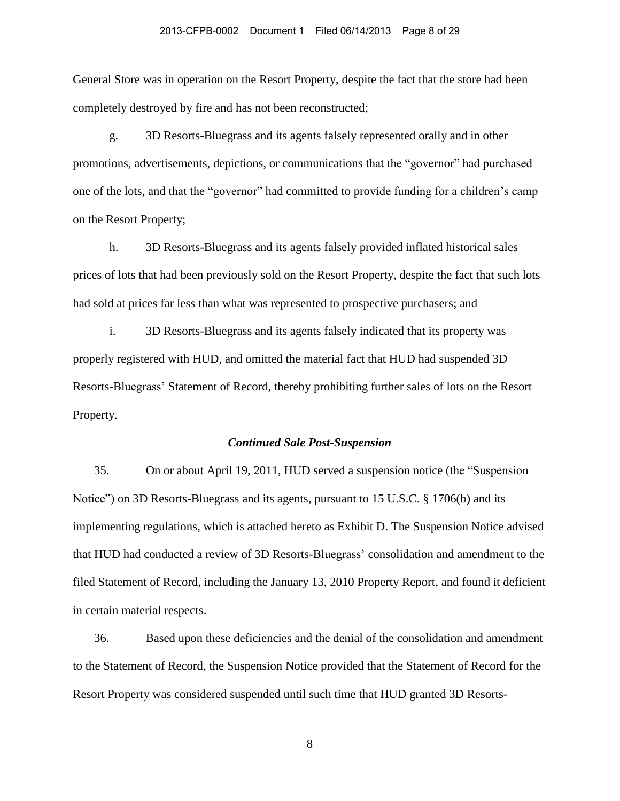General Store was in operation on the Resort Property, despite the fact that the store had been completely destroyed by fire and has not been reconstructed;

g. 3D Resorts-Bluegrass and its agents falsely represented orally and in other promotions, advertisements, depictions, or communications that the "governor" had purchased one of the lots, and that the "governor" had committed to provide funding for a children's camp on the Resort Property;

h. 3D Resorts-Bluegrass and its agents falsely provided inflated historical sales prices of lots that had been previously sold on the Resort Property, despite the fact that such lots had sold at prices far less than what was represented to prospective purchasers; and

i. 3D Resorts-Bluegrass and its agents falsely indicated that its property was properly registered with HUD, and omitted the material fact that HUD had suspended 3D Resorts-Bluegrass' Statement of Record, thereby prohibiting further sales of lots on the Resort Property.

#### *Continued Sale Post-Suspension*

35. On or about April 19, 2011, HUD served a suspension notice (the "Suspension Notice") on 3D Resorts-Bluegrass and its agents, pursuant to 15 U.S.C. § 1706(b) and its implementing regulations, which is attached hereto as Exhibit D. The Suspension Notice advised that HUD had conducted a review of 3D Resorts-Bluegrass' consolidation and amendment to the filed Statement of Record, including the January 13, 2010 Property Report, and found it deficient in certain material respects.

36. Based upon these deficiencies and the denial of the consolidation and amendment to the Statement of Record, the Suspension Notice provided that the Statement of Record for the Resort Property was considered suspended until such time that HUD granted 3D Resorts-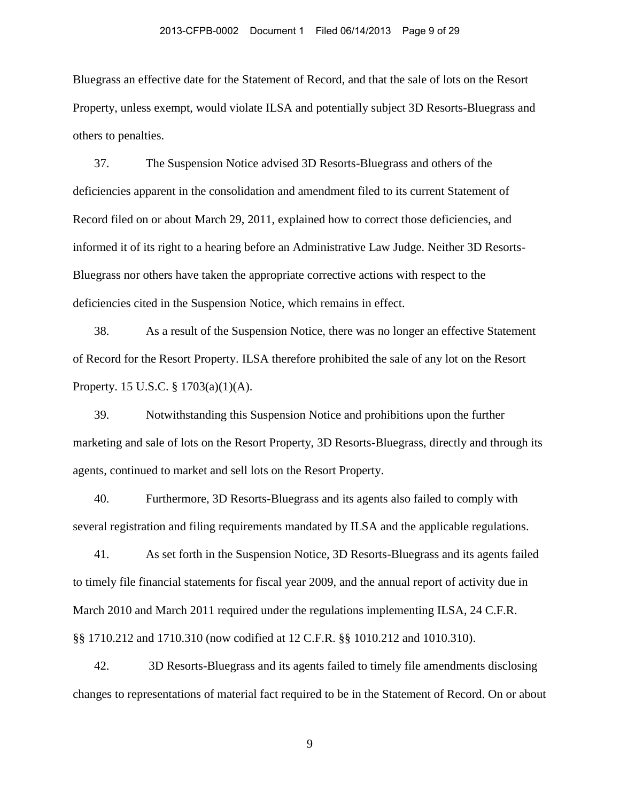Bluegrass an effective date for the Statement of Record, and that the sale of lots on the Resort Property, unless exempt, would violate ILSA and potentially subject 3D Resorts-Bluegrass and others to penalties.

37. The Suspension Notice advised 3D Resorts-Bluegrass and others of the deficiencies apparent in the consolidation and amendment filed to its current Statement of Record filed on or about March 29, 2011, explained how to correct those deficiencies, and informed it of its right to a hearing before an Administrative Law Judge. Neither 3D Resorts-Bluegrass nor others have taken the appropriate corrective actions with respect to the deficiencies cited in the Suspension Notice, which remains in effect.

38. As a result of the Suspension Notice, there was no longer an effective Statement of Record for the Resort Property. ILSA therefore prohibited the sale of any lot on the Resort Property. 15 U.S.C. § 1703(a)(1)(A).

39. Notwithstanding this Suspension Notice and prohibitions upon the further marketing and sale of lots on the Resort Property, 3D Resorts-Bluegrass, directly and through its agents, continued to market and sell lots on the Resort Property.

40. Furthermore, 3D Resorts-Bluegrass and its agents also failed to comply with several registration and filing requirements mandated by ILSA and the applicable regulations.

41. As set forth in the Suspension Notice, 3D Resorts-Bluegrass and its agents failed to timely file financial statements for fiscal year 2009, and the annual report of activity due in March 2010 and March 2011 required under the regulations implementing ILSA, 24 C.F.R. §§ 1710.212 and 1710.310 (now codified at 12 C.F.R. §§ 1010.212 and 1010.310).

42. 3D Resorts-Bluegrass and its agents failed to timely file amendments disclosing changes to representations of material fact required to be in the Statement of Record. On or about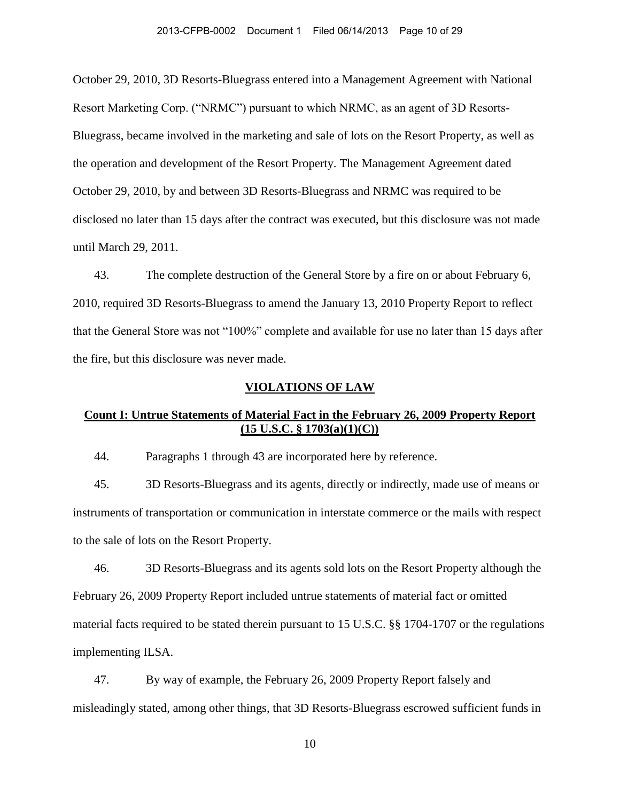October 29, 2010, 3D Resorts-Bluegrass entered into a Management Agreement with National Resort Marketing Corp. ("NRMC") pursuant to which NRMC, as an agent of 3D Resorts-Bluegrass, became involved in the marketing and sale of lots on the Resort Property, as well as the operation and development of the Resort Property. The Management Agreement dated October 29, 2010, by and between 3D Resorts-Bluegrass and NRMC was required to be disclosed no later than 15 days after the contract was executed, but this disclosure was not made until March 29, 2011.

43. The complete destruction of the General Store by a fire on or about February 6, 2010, required 3D Resorts-Bluegrass to amend the January 13, 2010 Property Report to reflect that the General Store was not "100%" complete and available for use no later than 15 days after the fire, but this disclosure was never made.

### **VIOLATIONS OF LAW**

# **Count I: Untrue Statements of Material Fact in the February 26, 2009 Property Report (15 U.S.C. § 1703(a)(1)(C))**

44. Paragraphs 1 through 43 are incorporated here by reference.

45. 3D Resorts-Bluegrass and its agents, directly or indirectly, made use of means or instruments of transportation or communication in interstate commerce or the mails with respect to the sale of lots on the Resort Property.

46. 3D Resorts-Bluegrass and its agents sold lots on the Resort Property although the February 26, 2009 Property Report included untrue statements of material fact or omitted material facts required to be stated therein pursuant to 15 U.S.C. §§ 1704-1707 or the regulations implementing ILSA.

47. By way of example, the February 26, 2009 Property Report falsely and misleadingly stated, among other things, that 3D Resorts-Bluegrass escrowed sufficient funds in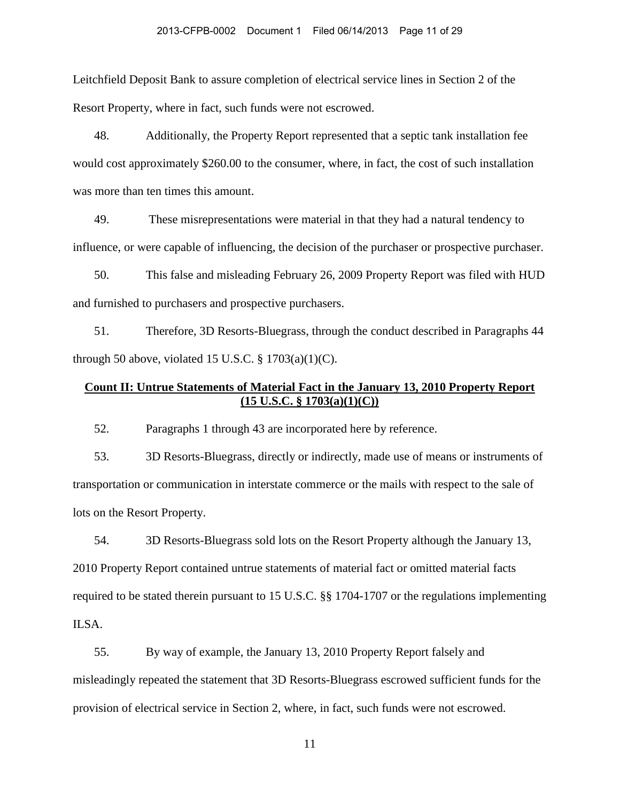Leitchfield Deposit Bank to assure completion of electrical service lines in Section 2 of the Resort Property, where in fact, such funds were not escrowed.

48. Additionally, the Property Report represented that a septic tank installation fee would cost approximately \$260.00 to the consumer, where, in fact, the cost of such installation was more than ten times this amount.

49. These misrepresentations were material in that they had a natural tendency to influence, or were capable of influencing, the decision of the purchaser or prospective purchaser.

50. This false and misleading February 26, 2009 Property Report was filed with HUD and furnished to purchasers and prospective purchasers.

51. Therefore, 3D Resorts-Bluegrass, through the conduct described in Paragraphs 44 through 50 above, violated 15 U.S.C.  $\S$  1703(a)(1)(C).

# **Count II: Untrue Statements of Material Fact in the January 13, 2010 Property Report (15 U.S.C. § 1703(a)(1)(C))**

52. Paragraphs 1 through 43 are incorporated here by reference.

53. 3D Resorts-Bluegrass, directly or indirectly, made use of means or instruments of transportation or communication in interstate commerce or the mails with respect to the sale of lots on the Resort Property.

54. 3D Resorts-Bluegrass sold lots on the Resort Property although the January 13, 2010 Property Report contained untrue statements of material fact or omitted material facts required to be stated therein pursuant to 15 U.S.C. §§ 1704-1707 or the regulations implementing ILSA.

55. By way of example, the January 13, 2010 Property Report falsely and misleadingly repeated the statement that 3D Resorts-Bluegrass escrowed sufficient funds for the provision of electrical service in Section 2, where, in fact, such funds were not escrowed.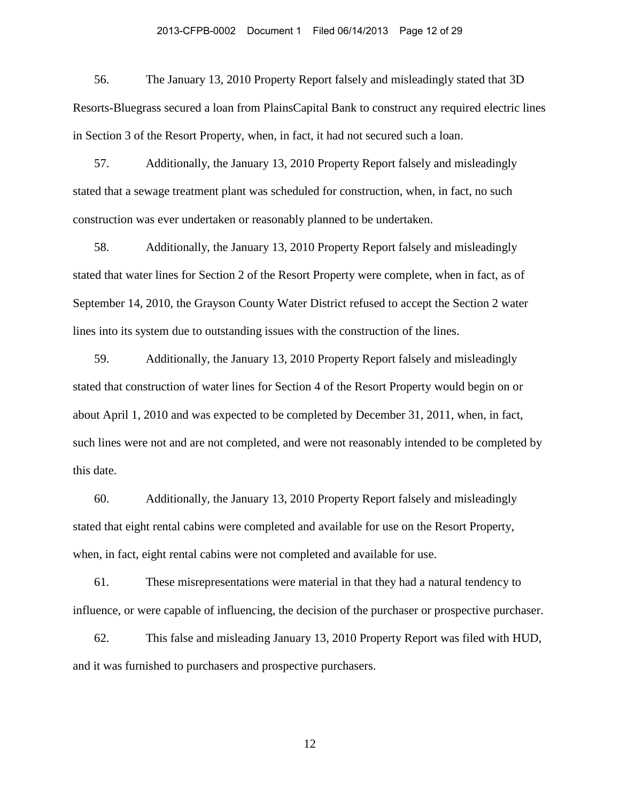#### 2013-CFPB-0002 Document 1 Filed 06/14/2013 Page 12 of 29

56. The January 13, 2010 Property Report falsely and misleadingly stated that 3D Resorts-Bluegrass secured a loan from PlainsCapital Bank to construct any required electric lines in Section 3 of the Resort Property, when, in fact, it had not secured such a loan.

57. Additionally, the January 13, 2010 Property Report falsely and misleadingly stated that a sewage treatment plant was scheduled for construction, when, in fact, no such construction was ever undertaken or reasonably planned to be undertaken.

58. Additionally, the January 13, 2010 Property Report falsely and misleadingly stated that water lines for Section 2 of the Resort Property were complete, when in fact, as of September 14, 2010, the Grayson County Water District refused to accept the Section 2 water lines into its system due to outstanding issues with the construction of the lines.

59. Additionally, the January 13, 2010 Property Report falsely and misleadingly stated that construction of water lines for Section 4 of the Resort Property would begin on or about April 1, 2010 and was expected to be completed by December 31, 2011, when, in fact, such lines were not and are not completed, and were not reasonably intended to be completed by this date.

60. Additionally, the January 13, 2010 Property Report falsely and misleadingly stated that eight rental cabins were completed and available for use on the Resort Property, when, in fact, eight rental cabins were not completed and available for use.

61. These misrepresentations were material in that they had a natural tendency to influence, or were capable of influencing, the decision of the purchaser or prospective purchaser.

62. This false and misleading January 13, 2010 Property Report was filed with HUD, and it was furnished to purchasers and prospective purchasers.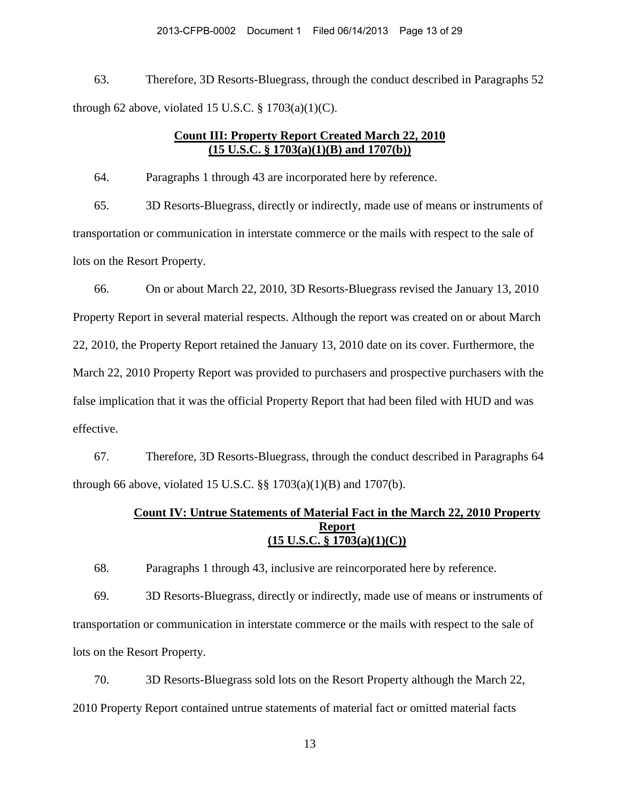63. Therefore, 3D Resorts-Bluegrass, through the conduct described in Paragraphs 52 through 62 above, violated 15 U.S.C.  $\S$  1703(a)(1)(C).

# **Count III: Property Report Created March 22, 2010 (15 U.S.C. § 1703(a)(1)(B) and 1707(b))**

64. Paragraphs 1 through 43 are incorporated here by reference.

65. 3D Resorts-Bluegrass, directly or indirectly, made use of means or instruments of transportation or communication in interstate commerce or the mails with respect to the sale of lots on the Resort Property.

66. On or about March 22, 2010, 3D Resorts-Bluegrass revised the January 13, 2010 Property Report in several material respects. Although the report was created on or about March 22, 2010, the Property Report retained the January 13, 2010 date on its cover. Furthermore, the March 22, 2010 Property Report was provided to purchasers and prospective purchasers with the false implication that it was the official Property Report that had been filed with HUD and was effective.

67. Therefore, 3D Resorts-Bluegrass, through the conduct described in Paragraphs 64 through 66 above, violated 15 U.S.C.  $\S$ § 1703(a)(1)(B) and 1707(b).

# **Count IV: Untrue Statements of Material Fact in the March 22, 2010 Property Report (15 U.S.C. § 1703(a)(1)(C))**

68. Paragraphs 1 through 43, inclusive are reincorporated here by reference.

69. 3D Resorts-Bluegrass, directly or indirectly, made use of means or instruments of transportation or communication in interstate commerce or the mails with respect to the sale of lots on the Resort Property.

70. 3D Resorts-Bluegrass sold lots on the Resort Property although the March 22, 2010 Property Report contained untrue statements of material fact or omitted material facts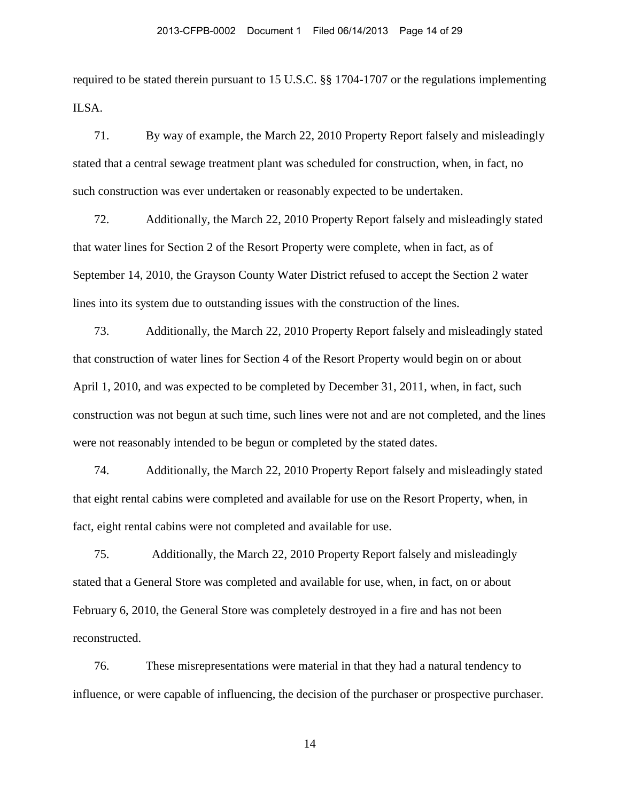required to be stated therein pursuant to 15 U.S.C. §§ 1704-1707 or the regulations implementing ILSA.

71. By way of example, the March 22, 2010 Property Report falsely and misleadingly stated that a central sewage treatment plant was scheduled for construction, when, in fact, no such construction was ever undertaken or reasonably expected to be undertaken.

72. Additionally, the March 22, 2010 Property Report falsely and misleadingly stated that water lines for Section 2 of the Resort Property were complete, when in fact, as of September 14, 2010, the Grayson County Water District refused to accept the Section 2 water lines into its system due to outstanding issues with the construction of the lines.

73. Additionally, the March 22, 2010 Property Report falsely and misleadingly stated that construction of water lines for Section 4 of the Resort Property would begin on or about April 1, 2010, and was expected to be completed by December 31, 2011, when, in fact, such construction was not begun at such time, such lines were not and are not completed, and the lines were not reasonably intended to be begun or completed by the stated dates.

74. Additionally, the March 22, 2010 Property Report falsely and misleadingly stated that eight rental cabins were completed and available for use on the Resort Property, when, in fact, eight rental cabins were not completed and available for use.

75. Additionally, the March 22, 2010 Property Report falsely and misleadingly stated that a General Store was completed and available for use, when, in fact, on or about February 6, 2010, the General Store was completely destroyed in a fire and has not been reconstructed.

76. These misrepresentations were material in that they had a natural tendency to influence, or were capable of influencing, the decision of the purchaser or prospective purchaser.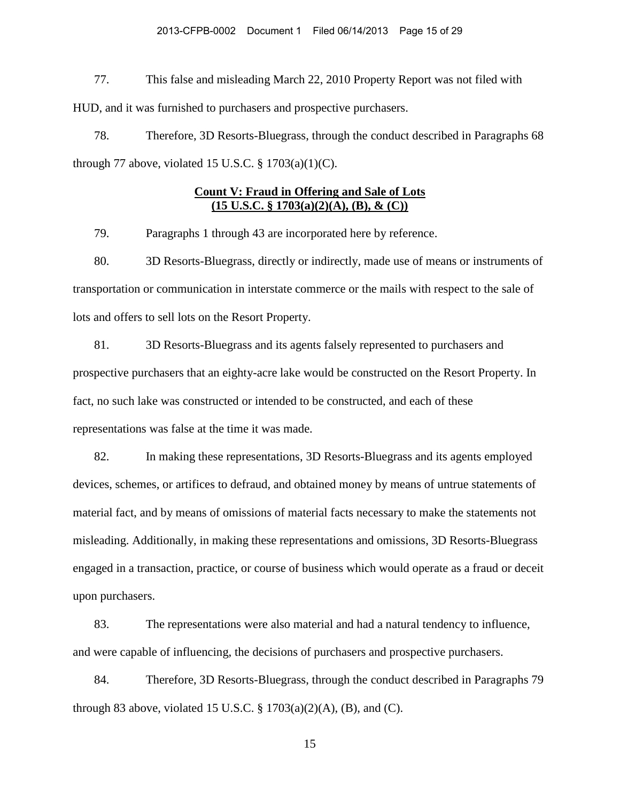#### 2013-CFPB-0002 Document 1 Filed 06/14/2013 Page 15 of 29

77. This false and misleading March 22, 2010 Property Report was not filed with HUD, and it was furnished to purchasers and prospective purchasers.

78. Therefore, 3D Resorts-Bluegrass, through the conduct described in Paragraphs 68 through 77 above, violated 15 U.S.C.  $\S 1703(a)(1)(C)$ .

# **Count V: Fraud in Offering and Sale of Lots (15 U.S.C. § 1703(a)(2)(A), (B), & (C))**

79. Paragraphs 1 through 43 are incorporated here by reference.

80. 3D Resorts-Bluegrass, directly or indirectly, made use of means or instruments of transportation or communication in interstate commerce or the mails with respect to the sale of lots and offers to sell lots on the Resort Property.

81. 3D Resorts-Bluegrass and its agents falsely represented to purchasers and prospective purchasers that an eighty-acre lake would be constructed on the Resort Property. In fact, no such lake was constructed or intended to be constructed, and each of these representations was false at the time it was made.

82. In making these representations, 3D Resorts-Bluegrass and its agents employed devices, schemes, or artifices to defraud, and obtained money by means of untrue statements of material fact, and by means of omissions of material facts necessary to make the statements not misleading. Additionally, in making these representations and omissions, 3D Resorts-Bluegrass engaged in a transaction, practice, or course of business which would operate as a fraud or deceit upon purchasers.

83. The representations were also material and had a natural tendency to influence, and were capable of influencing, the decisions of purchasers and prospective purchasers.

84. Therefore, 3D Resorts-Bluegrass, through the conduct described in Paragraphs 79 through 83 above, violated 15 U.S.C.  $\S$  1703(a)(2)(A), (B), and (C).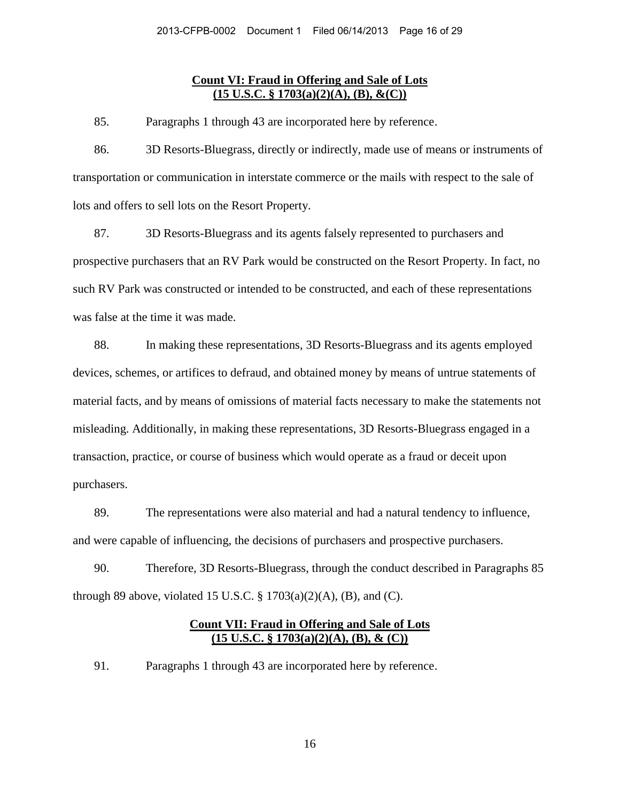### **Count VI: Fraud in Offering and Sale of Lots (15 U.S.C. § 1703(a)(2)(A), (B), &(C))**

85. Paragraphs 1 through 43 are incorporated here by reference.

86. 3D Resorts-Bluegrass, directly or indirectly, made use of means or instruments of transportation or communication in interstate commerce or the mails with respect to the sale of lots and offers to sell lots on the Resort Property.

87. 3D Resorts-Bluegrass and its agents falsely represented to purchasers and prospective purchasers that an RV Park would be constructed on the Resort Property. In fact, no such RV Park was constructed or intended to be constructed, and each of these representations was false at the time it was made.

88. In making these representations, 3D Resorts-Bluegrass and its agents employed devices, schemes, or artifices to defraud, and obtained money by means of untrue statements of material facts, and by means of omissions of material facts necessary to make the statements not misleading. Additionally, in making these representations, 3D Resorts-Bluegrass engaged in a transaction, practice, or course of business which would operate as a fraud or deceit upon purchasers.

89. The representations were also material and had a natural tendency to influence, and were capable of influencing, the decisions of purchasers and prospective purchasers.

90. Therefore, 3D Resorts-Bluegrass, through the conduct described in Paragraphs 85 through 89 above, violated 15 U.S.C.  $\S$  1703(a)(2)(A), (B), and (C).

# **Count VII: Fraud in Offering and Sale of Lots (15 U.S.C. § 1703(a)(2)(A), (B), & (C))**

91. Paragraphs 1 through 43 are incorporated here by reference.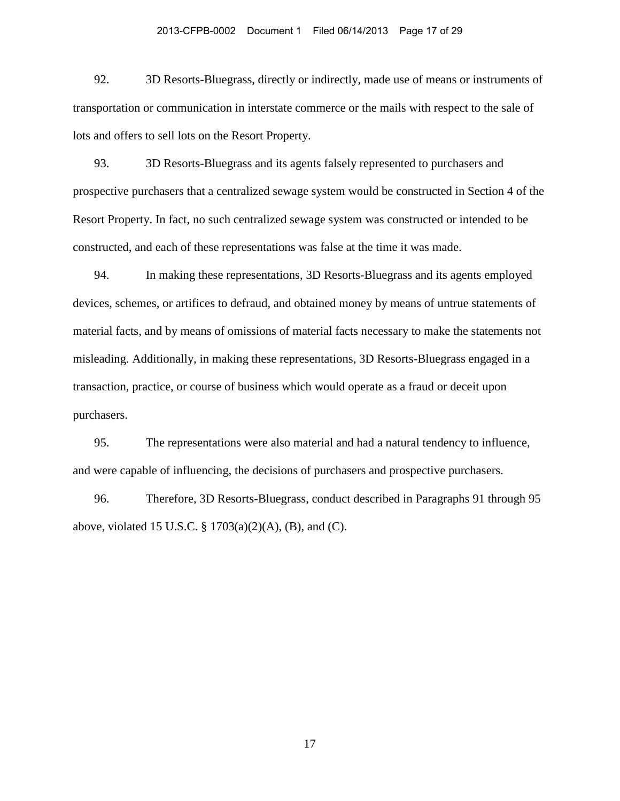#### 2013-CFPB-0002 Document 1 Filed 06/14/2013 Page 17 of 29

92. 3D Resorts-Bluegrass, directly or indirectly, made use of means or instruments of transportation or communication in interstate commerce or the mails with respect to the sale of lots and offers to sell lots on the Resort Property.

93. 3D Resorts-Bluegrass and its agents falsely represented to purchasers and prospective purchasers that a centralized sewage system would be constructed in Section 4 of the Resort Property. In fact, no such centralized sewage system was constructed or intended to be constructed, and each of these representations was false at the time it was made.

94. In making these representations, 3D Resorts-Bluegrass and its agents employed devices, schemes, or artifices to defraud, and obtained money by means of untrue statements of material facts, and by means of omissions of material facts necessary to make the statements not misleading. Additionally, in making these representations, 3D Resorts-Bluegrass engaged in a transaction, practice, or course of business which would operate as a fraud or deceit upon purchasers.

95. The representations were also material and had a natural tendency to influence, and were capable of influencing, the decisions of purchasers and prospective purchasers.

96. Therefore, 3D Resorts-Bluegrass, conduct described in Paragraphs 91 through 95 above, violated 15 U.S.C. § 1703(a)(2)(A), (B), and (C).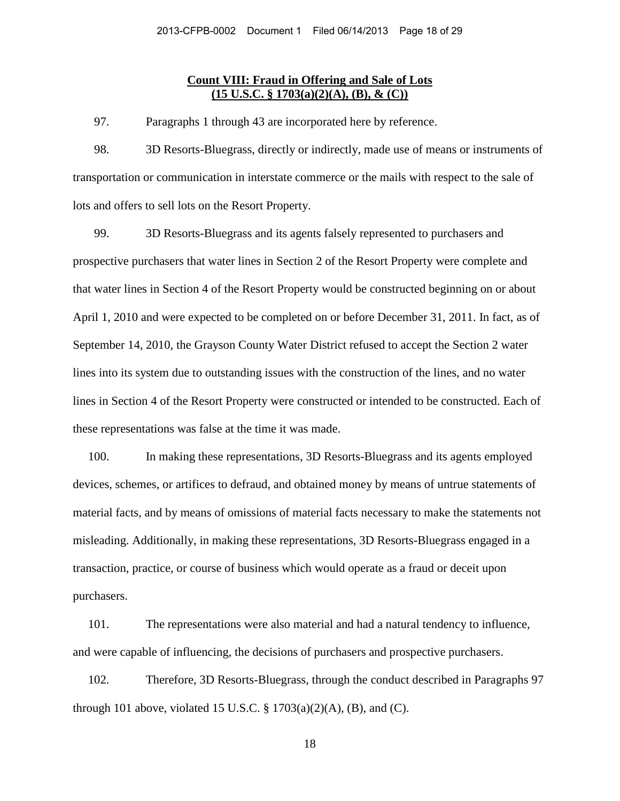### **Count VIII: Fraud in Offering and Sale of Lots (15 U.S.C. § 1703(a)(2)(A), (B), & (C))**

97. Paragraphs 1 through 43 are incorporated here by reference.

98. 3D Resorts-Bluegrass, directly or indirectly, made use of means or instruments of transportation or communication in interstate commerce or the mails with respect to the sale of lots and offers to sell lots on the Resort Property.

99. 3D Resorts-Bluegrass and its agents falsely represented to purchasers and prospective purchasers that water lines in Section 2 of the Resort Property were complete and that water lines in Section 4 of the Resort Property would be constructed beginning on or about April 1, 2010 and were expected to be completed on or before December 31, 2011. In fact, as of September 14, 2010, the Grayson County Water District refused to accept the Section 2 water lines into its system due to outstanding issues with the construction of the lines, and no water lines in Section 4 of the Resort Property were constructed or intended to be constructed. Each of these representations was false at the time it was made.

100. In making these representations, 3D Resorts-Bluegrass and its agents employed devices, schemes, or artifices to defraud, and obtained money by means of untrue statements of material facts, and by means of omissions of material facts necessary to make the statements not misleading. Additionally, in making these representations, 3D Resorts-Bluegrass engaged in a transaction, practice, or course of business which would operate as a fraud or deceit upon purchasers.

101. The representations were also material and had a natural tendency to influence, and were capable of influencing, the decisions of purchasers and prospective purchasers.

102. Therefore, 3D Resorts-Bluegrass, through the conduct described in Paragraphs 97 through 101 above, violated 15 U.S.C.  $\S 1703(a)(2)(A)$ , (B), and (C).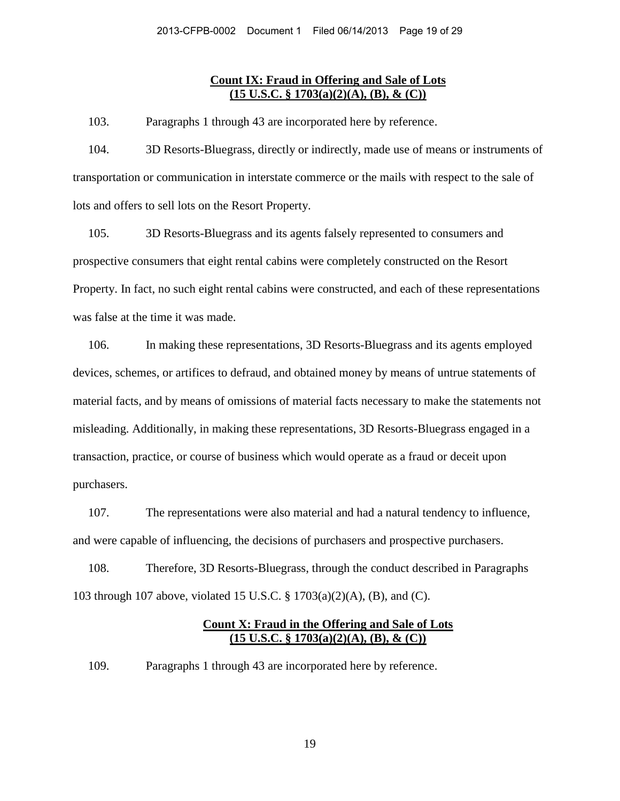## **Count IX: Fraud in Offering and Sale of Lots (15 U.S.C. § 1703(a)(2)(A), (B), & (C))**

103. Paragraphs 1 through 43 are incorporated here by reference.

104. 3D Resorts-Bluegrass, directly or indirectly, made use of means or instruments of transportation or communication in interstate commerce or the mails with respect to the sale of lots and offers to sell lots on the Resort Property.

105. 3D Resorts-Bluegrass and its agents falsely represented to consumers and prospective consumers that eight rental cabins were completely constructed on the Resort Property. In fact, no such eight rental cabins were constructed, and each of these representations was false at the time it was made.

106. In making these representations, 3D Resorts-Bluegrass and its agents employed devices, schemes, or artifices to defraud, and obtained money by means of untrue statements of material facts, and by means of omissions of material facts necessary to make the statements not misleading. Additionally, in making these representations, 3D Resorts-Bluegrass engaged in a transaction, practice, or course of business which would operate as a fraud or deceit upon purchasers.

107. The representations were also material and had a natural tendency to influence, and were capable of influencing, the decisions of purchasers and prospective purchasers.

108. Therefore, 3D Resorts-Bluegrass, through the conduct described in Paragraphs 103 through 107 above, violated 15 U.S.C. § 1703(a)(2)(A), (B), and (C).

# **Count X: Fraud in the Offering and Sale of Lots (15 U.S.C. § 1703(a)(2)(A), (B), & (C))**

109. Paragraphs 1 through 43 are incorporated here by reference.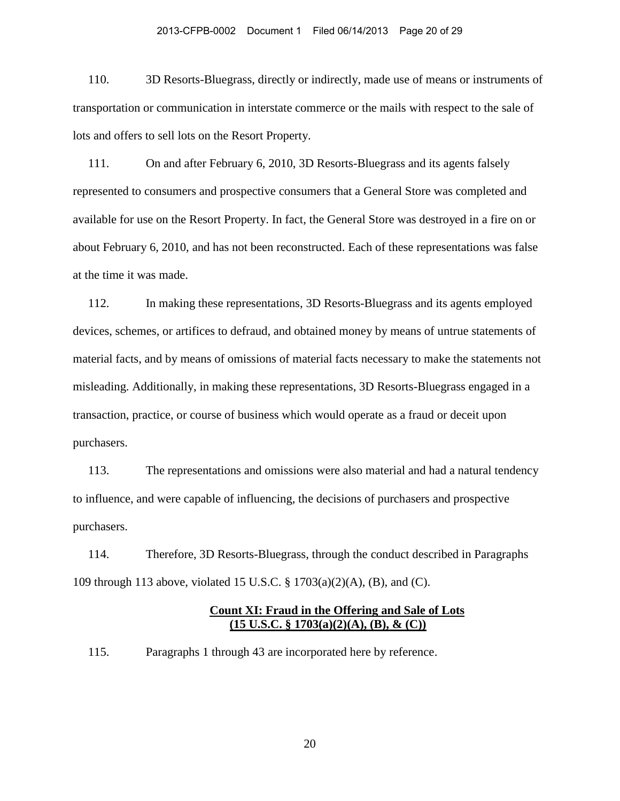110. 3D Resorts-Bluegrass, directly or indirectly, made use of means or instruments of transportation or communication in interstate commerce or the mails with respect to the sale of lots and offers to sell lots on the Resort Property.

111. On and after February 6, 2010, 3D Resorts-Bluegrass and its agents falsely represented to consumers and prospective consumers that a General Store was completed and available for use on the Resort Property. In fact, the General Store was destroyed in a fire on or about February 6, 2010, and has not been reconstructed. Each of these representations was false at the time it was made.

112. In making these representations, 3D Resorts-Bluegrass and its agents employed devices, schemes, or artifices to defraud, and obtained money by means of untrue statements of material facts, and by means of omissions of material facts necessary to make the statements not misleading. Additionally, in making these representations, 3D Resorts-Bluegrass engaged in a transaction, practice, or course of business which would operate as a fraud or deceit upon purchasers.

113. The representations and omissions were also material and had a natural tendency to influence, and were capable of influencing, the decisions of purchasers and prospective purchasers.

114. Therefore, 3D Resorts-Bluegrass, through the conduct described in Paragraphs 109 through 113 above, violated 15 U.S.C. § 1703(a)(2)(A), (B), and (C).

## **Count XI: Fraud in the Offering and Sale of Lots (15 U.S.C. § 1703(a)(2)(A), (B), & (C))**

115. Paragraphs 1 through 43 are incorporated here by reference.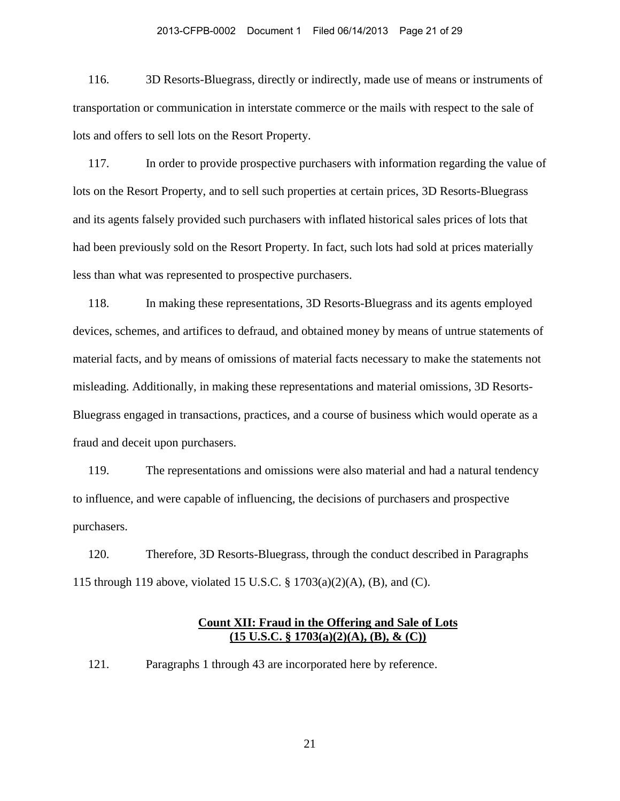116. 3D Resorts-Bluegrass, directly or indirectly, made use of means or instruments of transportation or communication in interstate commerce or the mails with respect to the sale of lots and offers to sell lots on the Resort Property.

117. In order to provide prospective purchasers with information regarding the value of lots on the Resort Property, and to sell such properties at certain prices, 3D Resorts-Bluegrass and its agents falsely provided such purchasers with inflated historical sales prices of lots that had been previously sold on the Resort Property. In fact, such lots had sold at prices materially less than what was represented to prospective purchasers.

118. In making these representations, 3D Resorts-Bluegrass and its agents employed devices, schemes, and artifices to defraud, and obtained money by means of untrue statements of material facts, and by means of omissions of material facts necessary to make the statements not misleading. Additionally, in making these representations and material omissions, 3D Resorts-Bluegrass engaged in transactions, practices, and a course of business which would operate as a fraud and deceit upon purchasers.

119. The representations and omissions were also material and had a natural tendency to influence, and were capable of influencing, the decisions of purchasers and prospective purchasers.

120. Therefore, 3D Resorts-Bluegrass, through the conduct described in Paragraphs 115 through 119 above, violated 15 U.S.C. § 1703(a)(2)(A), (B), and (C).

## **Count XII: Fraud in the Offering and Sale of Lots (15 U.S.C. § 1703(a)(2)(A), (B), & (C))**

121. Paragraphs 1 through 43 are incorporated here by reference.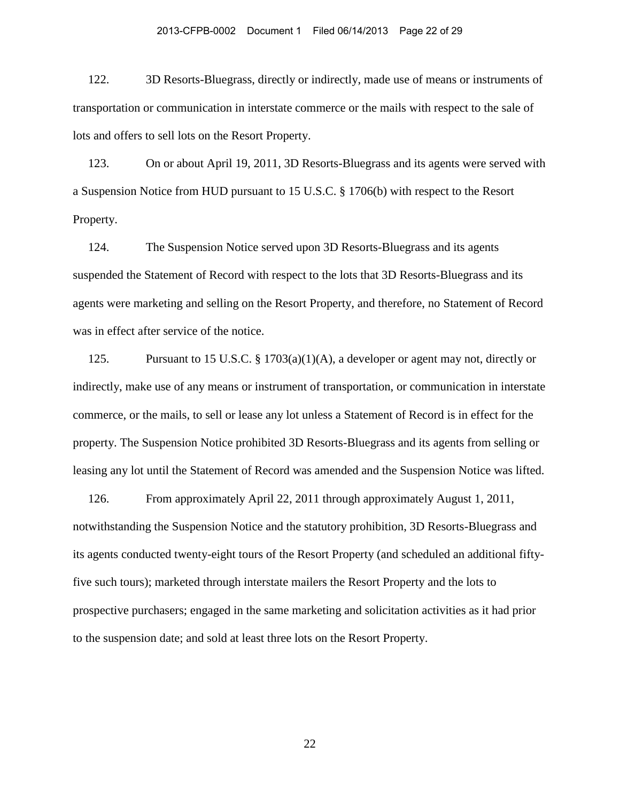122. 3D Resorts-Bluegrass, directly or indirectly, made use of means or instruments of transportation or communication in interstate commerce or the mails with respect to the sale of lots and offers to sell lots on the Resort Property.

123. On or about April 19, 2011, 3D Resorts-Bluegrass and its agents were served with a Suspension Notice from HUD pursuant to 15 U.S.C. § 1706(b) with respect to the Resort Property.

124. The Suspension Notice served upon 3D Resorts-Bluegrass and its agents suspended the Statement of Record with respect to the lots that 3D Resorts-Bluegrass and its agents were marketing and selling on the Resort Property, and therefore, no Statement of Record was in effect after service of the notice.

125. Pursuant to 15 U.S.C. § 1703(a)(1)(A), a developer or agent may not, directly or indirectly, make use of any means or instrument of transportation, or communication in interstate commerce, or the mails, to sell or lease any lot unless a Statement of Record is in effect for the property. The Suspension Notice prohibited 3D Resorts-Bluegrass and its agents from selling or leasing any lot until the Statement of Record was amended and the Suspension Notice was lifted.

126. From approximately April 22, 2011 through approximately August 1, 2011, notwithstanding the Suspension Notice and the statutory prohibition, 3D Resorts-Bluegrass and its agents conducted twenty-eight tours of the Resort Property (and scheduled an additional fiftyfive such tours); marketed through interstate mailers the Resort Property and the lots to prospective purchasers; engaged in the same marketing and solicitation activities as it had prior to the suspension date; and sold at least three lots on the Resort Property.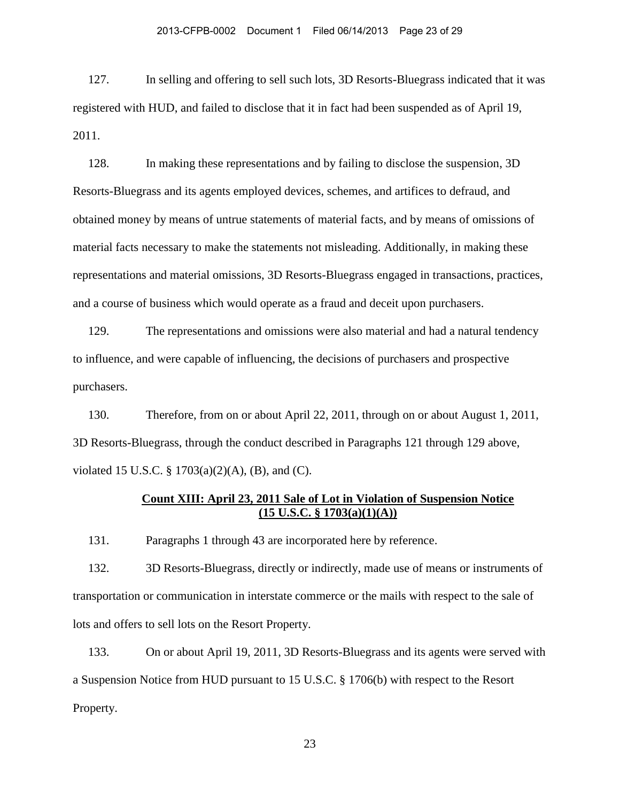127. In selling and offering to sell such lots, 3D Resorts-Bluegrass indicated that it was registered with HUD, and failed to disclose that it in fact had been suspended as of April 19, 2011.

128. In making these representations and by failing to disclose the suspension, 3D Resorts-Bluegrass and its agents employed devices, schemes, and artifices to defraud, and obtained money by means of untrue statements of material facts, and by means of omissions of material facts necessary to make the statements not misleading. Additionally, in making these representations and material omissions, 3D Resorts-Bluegrass engaged in transactions, practices, and a course of business which would operate as a fraud and deceit upon purchasers.

129. The representations and omissions were also material and had a natural tendency to influence, and were capable of influencing, the decisions of purchasers and prospective purchasers.

130. Therefore, from on or about April 22, 2011, through on or about August 1, 2011, 3D Resorts-Bluegrass, through the conduct described in Paragraphs 121 through 129 above, violated 15 U.S.C. § 1703(a)(2)(A), (B), and (C).

# **Count XIII: April 23, 2011 Sale of Lot in Violation of Suspension Notice (15 U.S.C. § 1703(a)(1)(A))**

131. Paragraphs 1 through 43 are incorporated here by reference.

132. 3D Resorts-Bluegrass, directly or indirectly, made use of means or instruments of transportation or communication in interstate commerce or the mails with respect to the sale of lots and offers to sell lots on the Resort Property.

133. On or about April 19, 2011, 3D Resorts-Bluegrass and its agents were served with a Suspension Notice from HUD pursuant to 15 U.S.C. § 1706(b) with respect to the Resort Property.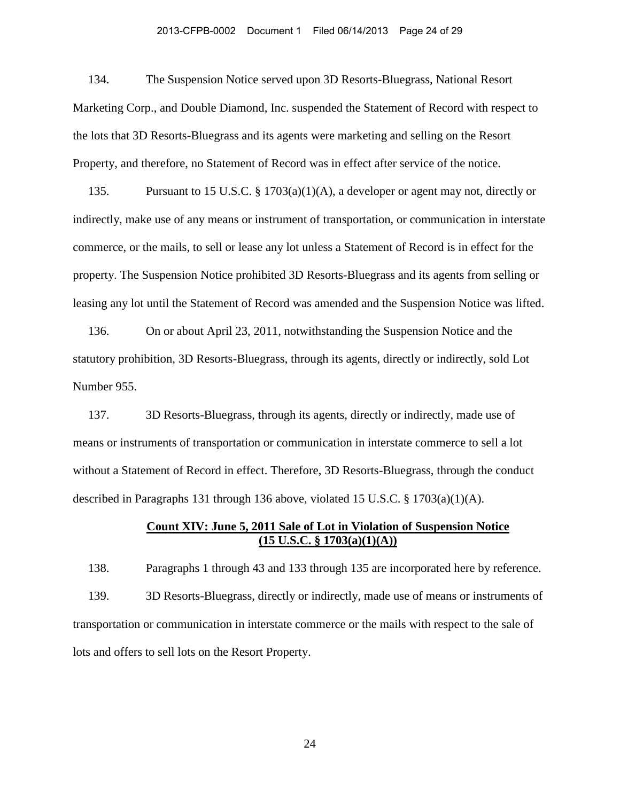#### 2013-CFPB-0002 Document 1 Filed 06/14/2013 Page 24 of 29

134. The Suspension Notice served upon 3D Resorts-Bluegrass, National Resort Marketing Corp., and Double Diamond, Inc. suspended the Statement of Record with respect to the lots that 3D Resorts-Bluegrass and its agents were marketing and selling on the Resort Property, and therefore, no Statement of Record was in effect after service of the notice.

135. Pursuant to 15 U.S.C. § 1703(a)(1)(A), a developer or agent may not, directly or indirectly, make use of any means or instrument of transportation, or communication in interstate commerce, or the mails, to sell or lease any lot unless a Statement of Record is in effect for the property. The Suspension Notice prohibited 3D Resorts-Bluegrass and its agents from selling or leasing any lot until the Statement of Record was amended and the Suspension Notice was lifted.

136. On or about April 23, 2011, notwithstanding the Suspension Notice and the statutory prohibition, 3D Resorts-Bluegrass, through its agents, directly or indirectly, sold Lot Number 955.

137. 3D Resorts-Bluegrass, through its agents, directly or indirectly, made use of means or instruments of transportation or communication in interstate commerce to sell a lot without a Statement of Record in effect. Therefore, 3D Resorts-Bluegrass, through the conduct described in Paragraphs 131 through 136 above, violated 15 U.S.C. § 1703(a)(1)(A).

## **Count XIV: June 5, 2011 Sale of Lot in Violation of Suspension Notice (15 U.S.C. § 1703(a)(1)(A))**

138. Paragraphs 1 through 43 and 133 through 135 are incorporated here by reference. 139. 3D Resorts-Bluegrass, directly or indirectly, made use of means or instruments of transportation or communication in interstate commerce or the mails with respect to the sale of lots and offers to sell lots on the Resort Property.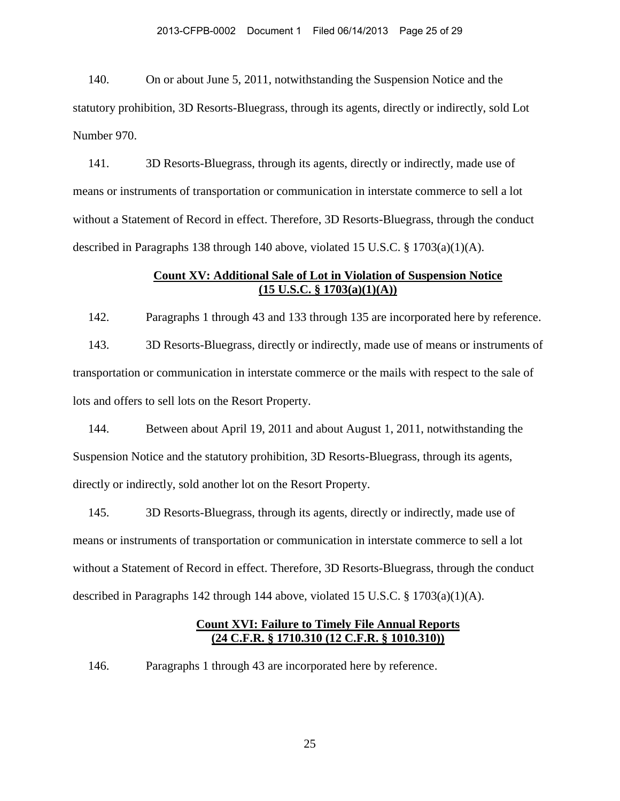140. On or about June 5, 2011, notwithstanding the Suspension Notice and the statutory prohibition, 3D Resorts-Bluegrass, through its agents, directly or indirectly, sold Lot Number 970.

141. 3D Resorts-Bluegrass, through its agents, directly or indirectly, made use of means or instruments of transportation or communication in interstate commerce to sell a lot without a Statement of Record in effect. Therefore, 3D Resorts-Bluegrass, through the conduct described in Paragraphs 138 through 140 above, violated 15 U.S.C.  $\S$  1703(a)(1)(A).

## **Count XV: Additional Sale of Lot in Violation of Suspension Notice (15 U.S.C. § 1703(a)(1)(A))**

142. Paragraphs 1 through 43 and 133 through 135 are incorporated here by reference.

143. 3D Resorts-Bluegrass, directly or indirectly, made use of means or instruments of transportation or communication in interstate commerce or the mails with respect to the sale of lots and offers to sell lots on the Resort Property.

144. Between about April 19, 2011 and about August 1, 2011, notwithstanding the Suspension Notice and the statutory prohibition, 3D Resorts-Bluegrass, through its agents, directly or indirectly, sold another lot on the Resort Property.

145. 3D Resorts-Bluegrass, through its agents, directly or indirectly, made use of means or instruments of transportation or communication in interstate commerce to sell a lot without a Statement of Record in effect. Therefore, 3D Resorts-Bluegrass, through the conduct described in Paragraphs 142 through 144 above, violated 15 U.S.C.  $\S$  1703(a)(1)(A).

# **Count XVI: Failure to Timely File Annual Reports (24 C.F.R. § 1710.310 (12 C.F.R. § 1010.310))**

146. Paragraphs 1 through 43 are incorporated here by reference.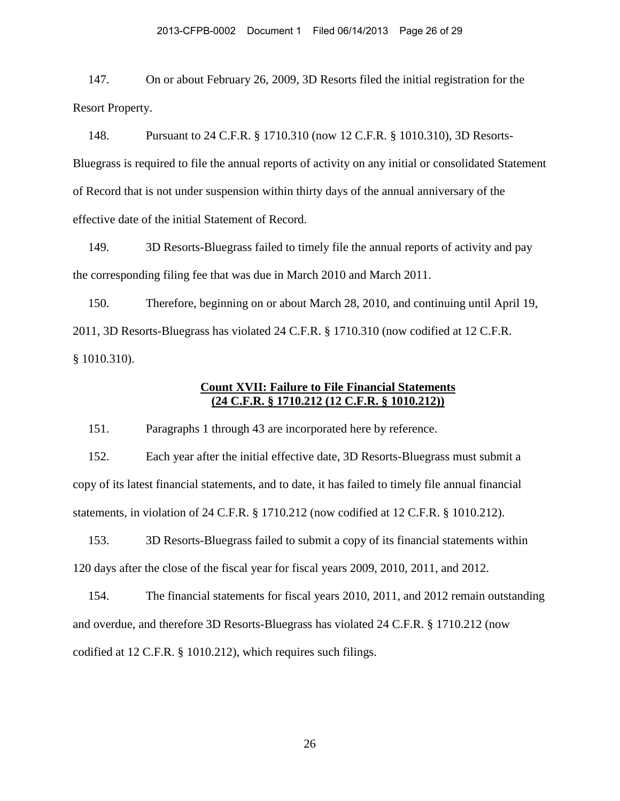147. On or about February 26, 2009, 3D Resorts filed the initial registration for the Resort Property.

148. Pursuant to 24 C.F.R. § 1710.310 (now 12 C.F.R. § 1010.310), 3D Resorts-Bluegrass is required to file the annual reports of activity on any initial or consolidated Statement of Record that is not under suspension within thirty days of the annual anniversary of the effective date of the initial Statement of Record.

149. 3D Resorts-Bluegrass failed to timely file the annual reports of activity and pay the corresponding filing fee that was due in March 2010 and March 2011.

150. Therefore, beginning on or about March 28, 2010, and continuing until April 19, 2011, 3D Resorts-Bluegrass has violated 24 C.F.R. § 1710.310 (now codified at 12 C.F.R. § 1010.310).

# **Count XVII: Failure to File Financial Statements (24 C.F.R. § 1710.212 (12 C.F.R. § 1010.212))**

151. Paragraphs 1 through 43 are incorporated here by reference.

152. Each year after the initial effective date, 3D Resorts-Bluegrass must submit a copy of its latest financial statements, and to date, it has failed to timely file annual financial statements, in violation of 24 C.F.R. § 1710.212 (now codified at 12 C.F.R. § 1010.212).

153. 3D Resorts-Bluegrass failed to submit a copy of its financial statements within 120 days after the close of the fiscal year for fiscal years 2009, 2010, 2011, and 2012.

154. The financial statements for fiscal years 2010, 2011, and 2012 remain outstanding and overdue, and therefore 3D Resorts-Bluegrass has violated 24 C.F.R. § 1710.212 (now codified at 12 C.F.R. § 1010.212), which requires such filings.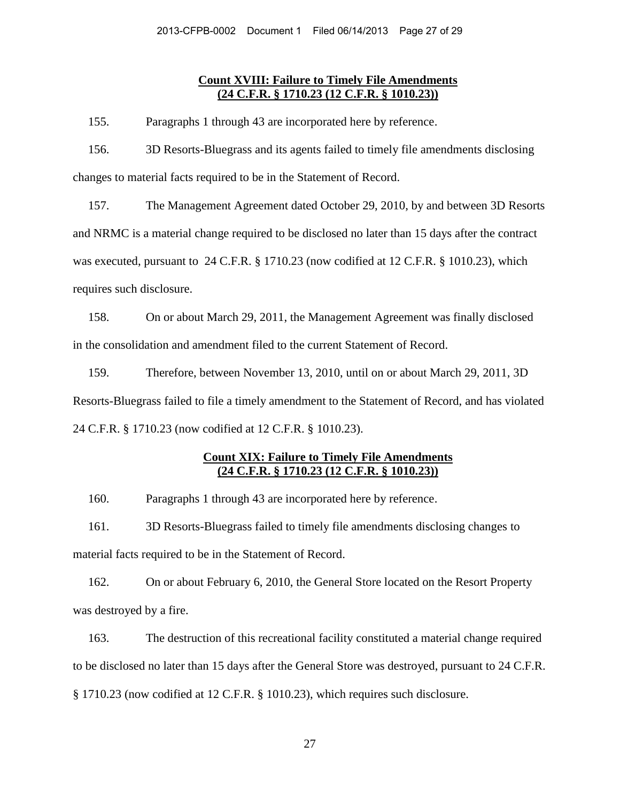## **Count XVIII: Failure to Timely File Amendments (24 C.F.R. § 1710.23 (12 C.F.R. § 1010.23))**

155. Paragraphs 1 through 43 are incorporated here by reference.

156. 3D Resorts-Bluegrass and its agents failed to timely file amendments disclosing changes to material facts required to be in the Statement of Record.

157. The Management Agreement dated October 29, 2010, by and between 3D Resorts and NRMC is a material change required to be disclosed no later than 15 days after the contract was executed, pursuant to 24 C.F.R. § 1710.23 (now codified at 12 C.F.R. § 1010.23), which requires such disclosure.

158. On or about March 29, 2011, the Management Agreement was finally disclosed in the consolidation and amendment filed to the current Statement of Record.

159. Therefore, between November 13, 2010, until on or about March 29, 2011, 3D Resorts-Bluegrass failed to file a timely amendment to the Statement of Record, and has violated 24 C.F.R. § 1710.23 (now codified at 12 C.F.R. § 1010.23).

# **Count XIX: Failure to Timely File Amendments (24 C.F.R. § 1710.23 (12 C.F.R. § 1010.23))**

160. Paragraphs 1 through 43 are incorporated here by reference.

161. 3D Resorts-Bluegrass failed to timely file amendments disclosing changes to material facts required to be in the Statement of Record.

162. On or about February 6, 2010, the General Store located on the Resort Property was destroyed by a fire.

163. The destruction of this recreational facility constituted a material change required to be disclosed no later than 15 days after the General Store was destroyed, pursuant to 24 C.F.R. § 1710.23 (now codified at 12 C.F.R. § 1010.23), which requires such disclosure.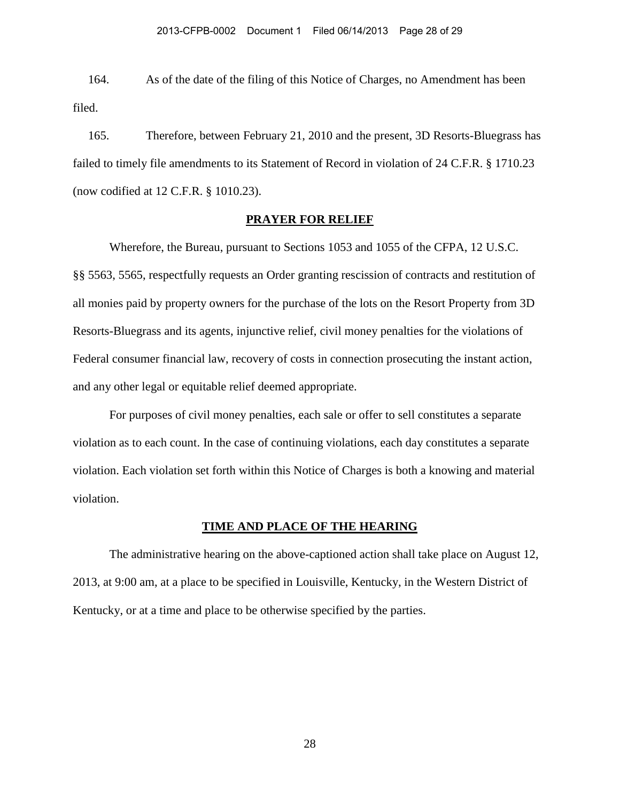164. As of the date of the filing of this Notice of Charges, no Amendment has been filed.

165. Therefore, between February 21, 2010 and the present, 3D Resorts-Bluegrass has failed to timely file amendments to its Statement of Record in violation of 24 C.F.R. § 1710.23 (now codified at 12 C.F.R. § 1010.23).

### **PRAYER FOR RELIEF**

Wherefore, the Bureau, pursuant to Sections 1053 and 1055 of the CFPA, 12 U.S.C. §§ 5563, 5565, respectfully requests an Order granting rescission of contracts and restitution of all monies paid by property owners for the purchase of the lots on the Resort Property from 3D Resorts-Bluegrass and its agents, injunctive relief, civil money penalties for the violations of Federal consumer financial law, recovery of costs in connection prosecuting the instant action, and any other legal or equitable relief deemed appropriate.

For purposes of civil money penalties, each sale or offer to sell constitutes a separate violation as to each count. In the case of continuing violations, each day constitutes a separate violation. Each violation set forth within this Notice of Charges is both a knowing and material violation.

### **TIME AND PLACE OF THE HEARING**

 The administrative hearing on the above-captioned action shall take place on August 12, 2013, at 9:00 am, at a place to be specified in Louisville, Kentucky, in the Western District of Kentucky, or at a time and place to be otherwise specified by the parties.